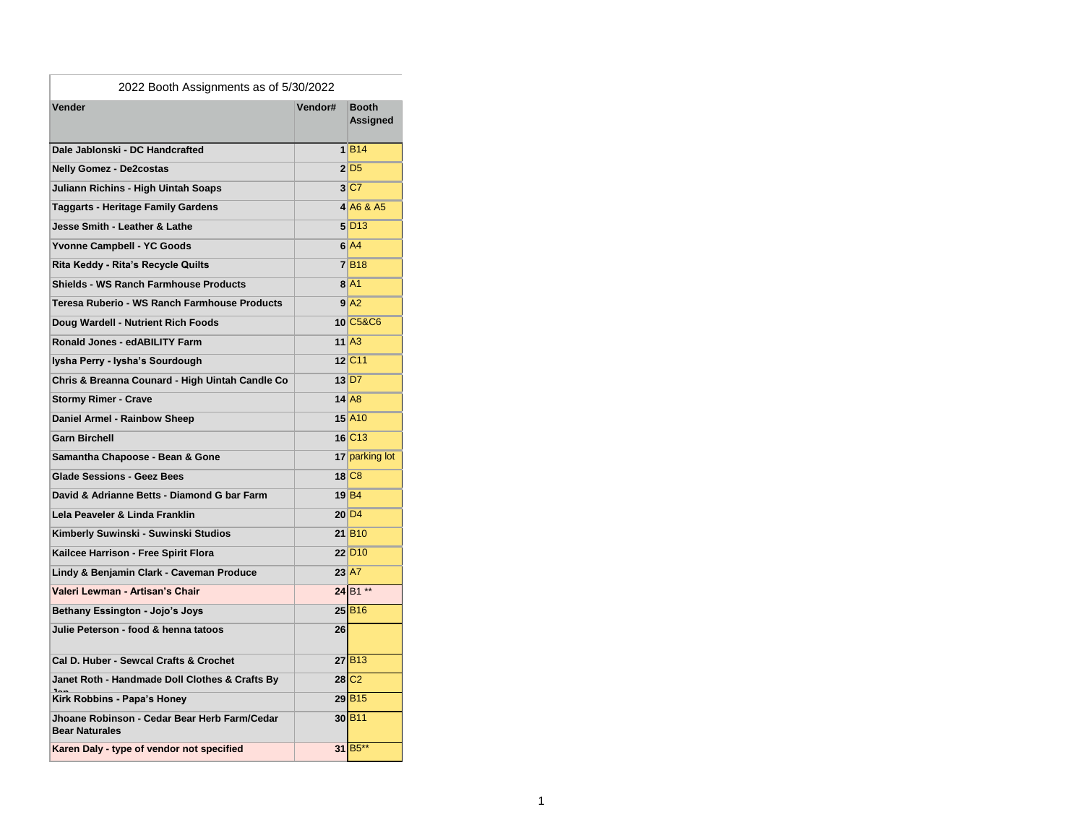| 2022 Booth Assignments as of 5/30/2022                                |         |                            |  |
|-----------------------------------------------------------------------|---------|----------------------------|--|
| Vender                                                                | Vendor# | <b>Booth</b><br>Assigned   |  |
| Dale Jablonski - DC Handcrafted                                       |         | 1 B14                      |  |
| <b>Nelly Gomez - De2costas</b>                                        |         | $2$ D <sub>5</sub>         |  |
| Juliann Richins - High Uintah Soaps                                   |         | 3 C7                       |  |
| Taggarts - Heritage Family Gardens                                    |         | 4 A6 & A5                  |  |
| <b>Jesse Smith - Leather &amp; Lathe</b>                              |         | $5$ D <sub>13</sub>        |  |
| Yvonne Campbell - YC Goods                                            |         | $6$ $A4$                   |  |
| Rita Keddy - Rita's Recycle Quilts                                    |         | 7B18                       |  |
| Shields - WS Ranch Farmhouse Products                                 |         | $8$ $A1$                   |  |
| Teresa Ruberio - WS Ranch Farmhouse Products                          |         | 9 <sup>2</sup>             |  |
| Doug Wardell - Nutrient Rich Foods                                    |         | 10 C5&C6                   |  |
| Ronald Jones - edABILITY Farm                                         |         | $11$ $A3$                  |  |
| Iysha Perry - Iysha's Sourdough                                       |         | 12 C <sub>11</sub>         |  |
| Chris & Breanna Counard - High Uintah Candle Co                       |         | $13$ D7                    |  |
| <b>Stormy Rimer - Crave</b>                                           |         | $14$ A <sub>8</sub>        |  |
| Daniel Armel - Rainbow Sheep                                          |         | 15 A10                     |  |
| <b>Garn Birchell</b>                                                  |         | 16 C <sub>13</sub>         |  |
| Samantha Chapoose - Bean & Gone                                       |         | 17 parking lot             |  |
| <b>Glade Sessions - Geez Bees</b>                                     |         | 18 C <sub>8</sub>          |  |
| David & Adrianne Betts - Diamond G bar Farm                           |         | $19$ B <sub>4</sub>        |  |
| Lela Peaveler & Linda Franklin                                        |         | $20\overline{\mathrm{D}}4$ |  |
| Kimberly Suwinski - Suwinski Studios                                  |         | 21 B <sub>10</sub>         |  |
| Kailcee Harrison - Free Spirit Flora                                  |         | 22 D <sub>10</sub>         |  |
| Lindy & Benjamin Clark - Caveman Produce                              |         | $23$ A7                    |  |
| Valeri Lewman - Artisan's Chair                                       |         | 24 B1 **                   |  |
| Bethany Essington - Jojo's Joys                                       |         | 25 B <sub>16</sub>         |  |
| Julie Peterson - food & henna tatoos                                  | 26      |                            |  |
| Cal D. Huber - Sewcal Crafts & Crochet                                |         | $27$ B <sub>13</sub>       |  |
| Janet Roth - Handmade Doll Clothes & Crafts By                        |         | $28$ C <sub>2</sub>        |  |
| Kirk Robbins - Papa's Honey                                           |         | 29 B <sub>15</sub>         |  |
| Jhoane Robinson - Cedar Bear Herb Farm/Cedar<br><b>Bear Naturales</b> |         | 30 B <sub>11</sub>         |  |
| Karen Daly - type of vendor not specified                             |         | 31 B <sub>5</sub> **       |  |